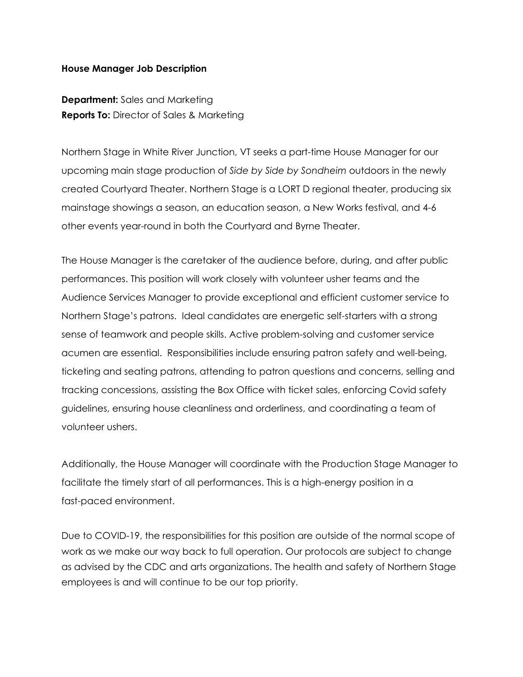## **House Manager Job Description**

**Department:** Sales and Marketing **Reports To:** Director of Sales & Marketing

Northern Stage in White River Junction, VT seeks a part-time House Manager for our upcoming main stage production of *Side by Side by Sondheim* outdoors in the newly created Courtyard Theater. Northern Stage is a LORT D regional theater, producing six mainstage showings a season, an education season, a New Works festival, and 4-6 other events year-round in both the Courtyard and Byrne Theater.

The House Manager is the caretaker of the audience before, during, and after public performances. This position will work closely with volunteer usher teams and the Audience Services Manager to provide exceptional and efficient customer service to Northern Stage's patrons. Ideal candidates are energetic self-starters with a strong sense of teamwork and people skills. Active problem-solving and customer service acumen are essential. Responsibilities include ensuring patron safety and well-being, ticketing and seating patrons, attending to patron questions and concerns, selling and tracking concessions, assisting the Box Office with ticket sales, enforcing Covid safety guidelines, ensuring house cleanliness and orderliness, and coordinating a team of volunteer ushers.

Additionally, the House Manager will coordinate with the Production Stage Manager to facilitate the timely start of all performances. This is a high-energy position in a fast-paced environment.

Due to COVID-19, the responsibilities for this position are outside of the normal scope of work as we make our way back to full operation. Our protocols are subject to change as advised by the CDC and arts organizations. The health and safety of Northern Stage employees is and will continue to be our top priority.